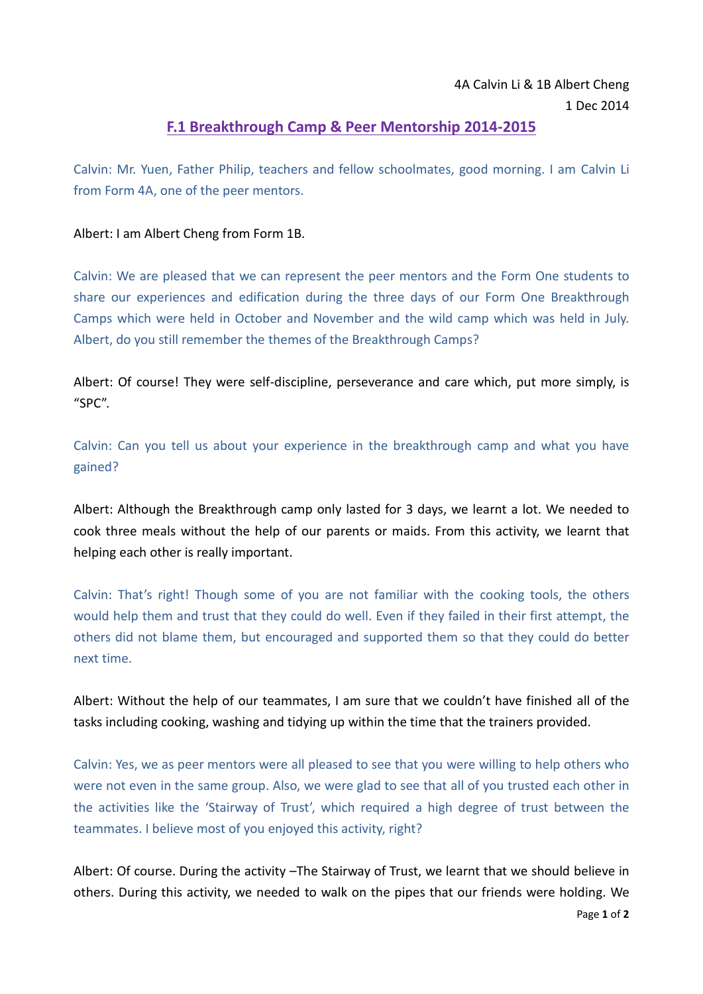## 4A Calvin Li & 1B Albert Cheng 1 Dec 2014

## **F.1 Breakthrough Camp & Peer Mentorship 2014-2015**

Calvin: Mr. Yuen, Father Philip, teachers and fellow schoolmates, good morning. I am Calvin Li from Form 4A, one of the peer mentors.

## Albert: I am Albert Cheng from Form 1B.

Calvin: We are pleased that we can represent the peer mentors and the Form One students to share our experiences and edification during the three days of our Form One Breakthrough Camps which were held in October and November and the wild camp which was held in July. Albert, do you still remember the themes of the Breakthrough Camps?

Albert: Of course! They were self-discipline, perseverance and care which, put more simply, is "SPC".

Calvin: Can you tell us about your experience in the breakthrough camp and what you have gained?

Albert: Although the Breakthrough camp only lasted for 3 days, we learnt a lot. We needed to cook three meals without the help of our parents or maids. From this activity, we learnt that helping each other is really important.

Calvin: That's right! Though some of you are not familiar with the cooking tools, the others would help them and trust that they could do well. Even if they failed in their first attempt, the others did not blame them, but encouraged and supported them so that they could do better next time.

Albert: Without the help of our teammates, I am sure that we couldn't have finished all of the tasks including cooking, washing and tidying up within the time that the trainers provided.

Calvin: Yes, we as peer mentors were all pleased to see that you were willing to help others who were not even in the same group. Also, we were glad to see that all of you trusted each other in the activities like the 'Stairway of Trust', which required a high degree of trust between the teammates. I believe most of you enjoyed this activity, right?

Albert: Of course. During the activity –The Stairway of Trust, we learnt that we should believe in others. During this activity, we needed to walk on the pipes that our friends were holding. We